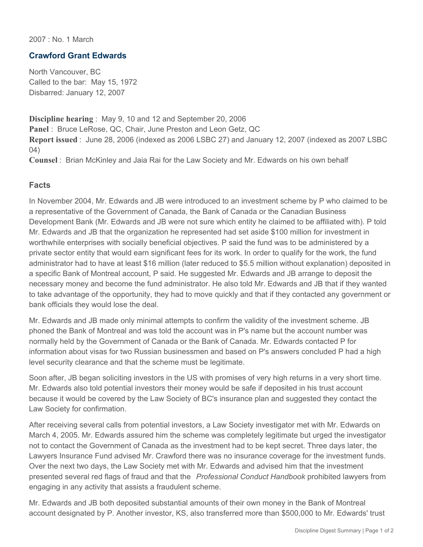2007 : No. 1 March

## **Crawford Grant Edwards**

North Vancouver, BC Called to the bar: May 15, 1972 Disbarred: January 12, 2007

**Discipline hearing** : May 9, 10 and 12 and September 20, 2006 **Panel** : Bruce LeRose, QC, Chair, June Preston and Leon Getz, QC **Report issued** : June 28, 2006 (indexed as 2006 LSBC 27) and January 12, 2007 (indexed as 2007 LSBC 04)

**Counsel** : Brian McKinley and Jaia Rai for the Law Society and Mr. Edwards on his own behalf

## **Facts**

In November 2004, Mr. Edwards and JB were introduced to an investment scheme by P who claimed to be a representative of the Government of Canada, the Bank of Canada or the Canadian Business Development Bank (Mr. Edwards and JB were not sure which entity he claimed to be affiliated with). P told Mr. Edwards and JB that the organization he represented had set aside \$100 million for investment in worthwhile enterprises with socially beneficial objectives. P said the fund was to be administered by a private sector entity that would earn significant fees for its work. In order to qualify for the work, the fund administrator had to have at least \$16 million (later reduced to \$5.5 million without explanation) deposited in a specific Bank of Montreal account, P said. He suggested Mr. Edwards and JB arrange to deposit the necessary money and become the fund administrator. He also told Mr. Edwards and JB that if they wanted to take advantage of the opportunity, they had to move quickly and that if they contacted any government or bank officials they would lose the deal.

Mr. Edwards and JB made only minimal attempts to confirm the validity of the investment scheme. JB phoned the Bank of Montreal and was told the account was in P's name but the account number was normally held by the Government of Canada or the Bank of Canada. Mr. Edwards contacted P for information about visas for two Russian businessmen and based on P's answers concluded P had a high level security clearance and that the scheme must be legitimate.

Soon after, JB began soliciting investors in the US with promises of very high returns in a very short time. Mr. Edwards also told potential investors their money would be safe if deposited in his trust account because it would be covered by the Law Society of BC's insurance plan and suggested they contact the Law Society for confirmation.

After receiving several calls from potential investors, a Law Society investigator met with Mr. Edwards on March 4, 2005. Mr. Edwards assured him the scheme was completely legitimate but urged the investigator not to contact the Government of Canada as the investment had to be kept secret. Three days later, the Lawyers Insurance Fund advised Mr. Crawford there was no insurance coverage for the investment funds. Over the next two days, the Law Society met with Mr. Edwards and advised him that the investment presented several red flags of fraud and that the *Professional Conduct Handbook* prohibited lawyers from engaging in any activity that assists a fraudulent scheme.

Mr. Edwards and JB both deposited substantial amounts of their own money in the Bank of Montreal account designated by P. Another investor, KS, also transferred more than \$500,000 to Mr. Edwards' trust